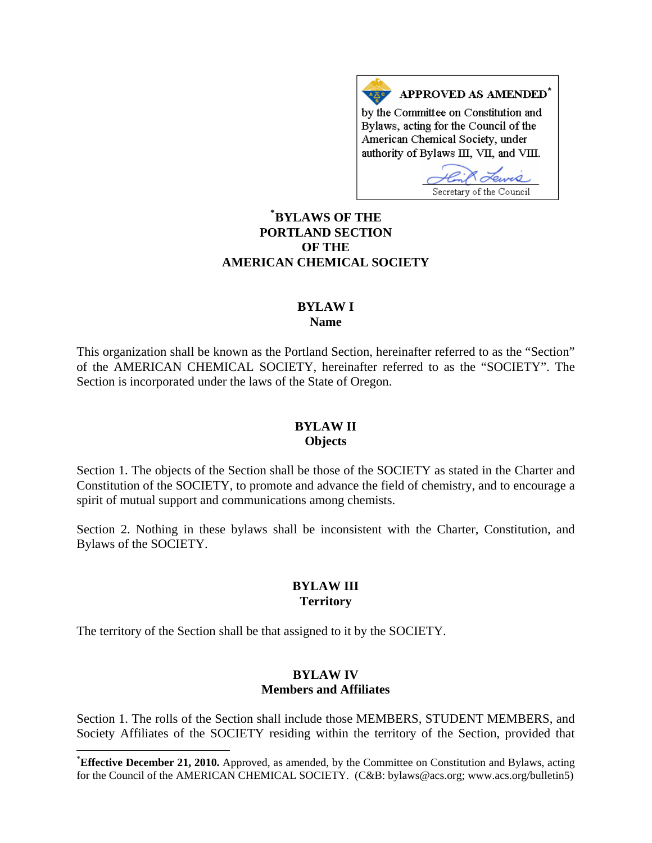APPROVED AS AMENDED<sup>\*</sup> by the Committee on Constitution and Bylaws, acting for the Council of the American Chemical Society, under authority of Bylaws III, VII, and VIII.

Secretary of the Council

# **[\\*](#page-0-0) BYLAWS OF THE PORTLAND SECTION OF THE AMERICAN CHEMICAL SOCIETY**

#### **BYLAW I Name**

This organization shall be known as the Portland Section, hereinafter referred to as the "Section" of the AMERICAN CHEMICAL SOCIETY, hereinafter referred to as the "SOCIETY". The Section is incorporated under the laws of the State of Oregon.

## **BYLAW II Objects**

Section 1. The objects of the Section shall be those of the SOCIETY as stated in the Charter and Constitution of the SOCIETY, to promote and advance the field of chemistry, and to encourage a spirit of mutual support and communications among chemists.

Section 2. Nothing in these bylaws shall be inconsistent with the Charter, Constitution, and Bylaws of the SOCIETY.

## **BYLAW III Territory**

The territory of the Section shall be that assigned to it by the SOCIETY.

l

#### **BYLAW IV Members and Affiliates**

Section 1. The rolls of the Section shall include those MEMBERS, STUDENT MEMBERS, and Society Affiliates of the SOCIETY residing within the territory of the Section, provided that

<span id="page-0-0"></span><sup>\*</sup> **Effective December 21, 2010.** Approved, as amended, by the Committee on Constitution and Bylaws, acting for the Council of the AMERICAN CHEMICAL SOCIETY. (C&B: bylaws@acs.org; www.acs.org/bulletin5)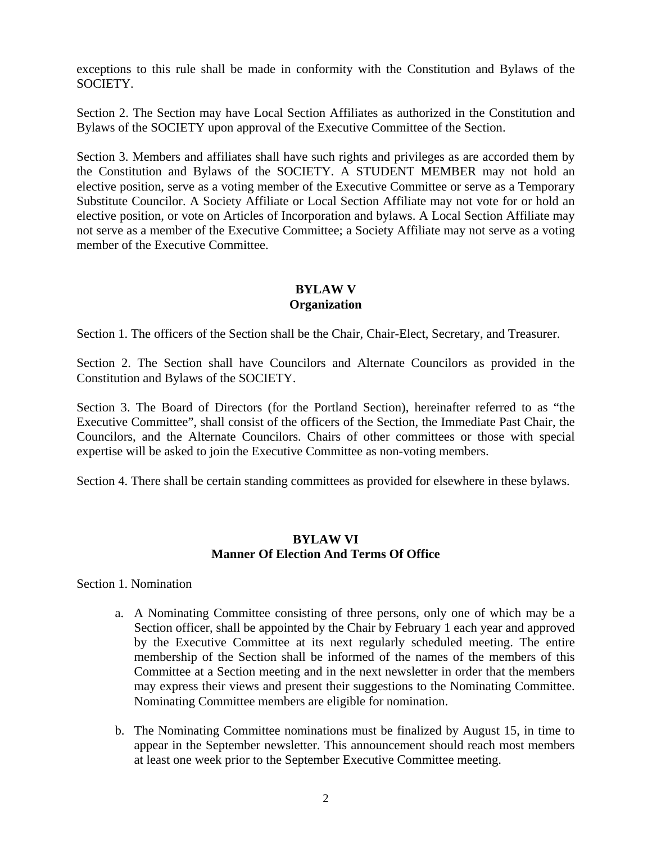exceptions to this rule shall be made in conformity with the Constitution and Bylaws of the SOCIETY.

Section 2. The Section may have Local Section Affiliates as authorized in the Constitution and Bylaws of the SOCIETY upon approval of the Executive Committee of the Section.

Section 3. Members and affiliates shall have such rights and privileges as are accorded them by the Constitution and Bylaws of the SOCIETY. A STUDENT MEMBER may not hold an elective position, serve as a voting member of the Executive Committee or serve as a Temporary Substitute Councilor. A Society Affiliate or Local Section Affiliate may not vote for or hold an elective position, or vote on Articles of Incorporation and bylaws. A Local Section Affiliate may not serve as a member of the Executive Committee; a Society Affiliate may not serve as a voting member of the Executive Committee.

## **BYLAW V Organization**

Section 1. The officers of the Section shall be the Chair, Chair-Elect, Secretary, and Treasurer.

Section 2. The Section shall have Councilors and Alternate Councilors as provided in the Constitution and Bylaws of the SOCIETY.

Section 3. The Board of Directors (for the Portland Section), hereinafter referred to as "the Executive Committee", shall consist of the officers of the Section, the Immediate Past Chair, the Councilors, and the Alternate Councilors. Chairs of other committees or those with special expertise will be asked to join the Executive Committee as non-voting members.

Section 4. There shall be certain standing committees as provided for elsewhere in these bylaws.

## **BYLAW VI Manner Of Election And Terms Of Office**

Section 1. Nomination

- a. A Nominating Committee consisting of three persons, only one of which may be a Section officer, shall be appointed by the Chair by February 1 each year and approved by the Executive Committee at its next regularly scheduled meeting. The entire membership of the Section shall be informed of the names of the members of this Committee at a Section meeting and in the next newsletter in order that the members may express their views and present their suggestions to the Nominating Committee. Nominating Committee members are eligible for nomination.
- b. The Nominating Committee nominations must be finalized by August 15, in time to appear in the September newsletter. This announcement should reach most members at least one week prior to the September Executive Committee meeting.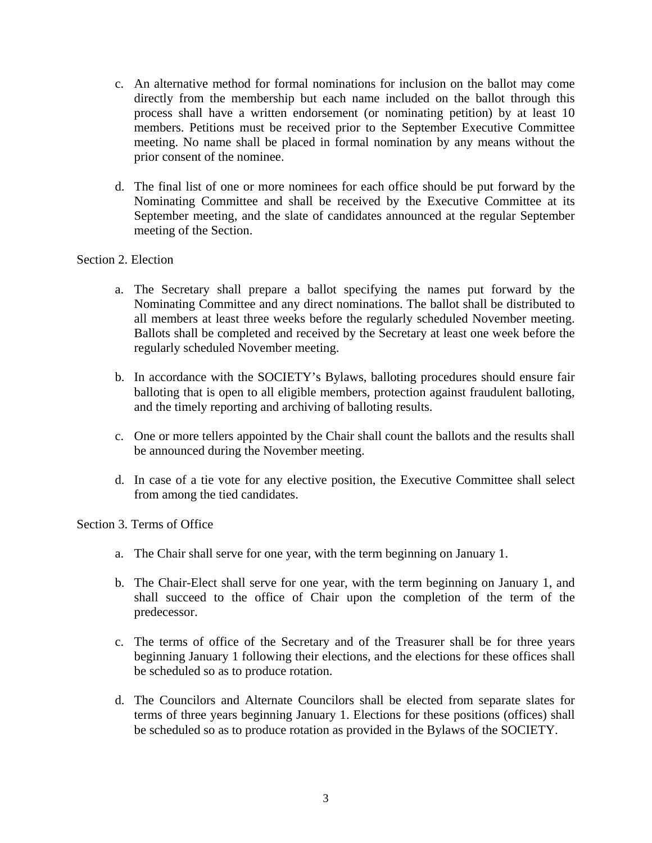- c. An alternative method for formal nominations for inclusion on the ballot may come directly from the membership but each name included on the ballot through this process shall have a written endorsement (or nominating petition) by at least 10 members. Petitions must be received prior to the September Executive Committee meeting. No name shall be placed in formal nomination by any means without the prior consent of the nominee.
- d. The final list of one or more nominees for each office should be put forward by the Nominating Committee and shall be received by the Executive Committee at its September meeting, and the slate of candidates announced at the regular September meeting of the Section.

#### Section 2. Election

- a. The Secretary shall prepare a ballot specifying the names put forward by the Nominating Committee and any direct nominations. The ballot shall be distributed to all members at least three weeks before the regularly scheduled November meeting. Ballots shall be completed and received by the Secretary at least one week before the regularly scheduled November meeting.
- b. In accordance with the SOCIETY's Bylaws, balloting procedures should ensure fair balloting that is open to all eligible members, protection against fraudulent balloting, and the timely reporting and archiving of balloting results.
- c. One or more tellers appointed by the Chair shall count the ballots and the results shall be announced during the November meeting.
- d. In case of a tie vote for any elective position, the Executive Committee shall select from among the tied candidates.

Section 3. Terms of Office

- a. The Chair shall serve for one year, with the term beginning on January 1.
- b. The Chair-Elect shall serve for one year, with the term beginning on January 1, and shall succeed to the office of Chair upon the completion of the term of the predecessor.
- c. The terms of office of the Secretary and of the Treasurer shall be for three years beginning January 1 following their elections, and the elections for these offices shall be scheduled so as to produce rotation.
- d. The Councilors and Alternate Councilors shall be elected from separate slates for terms of three years beginning January 1. Elections for these positions (offices) shall be scheduled so as to produce rotation as provided in the Bylaws of the SOCIETY.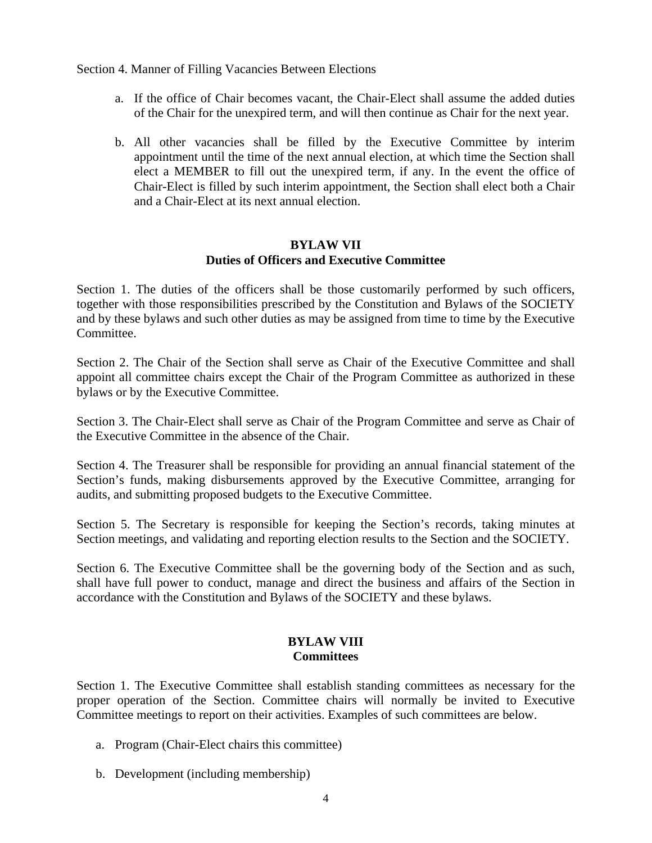Section 4. Manner of Filling Vacancies Between Elections

- a. If the office of Chair becomes vacant, the Chair-Elect shall assume the added duties of the Chair for the unexpired term, and will then continue as Chair for the next year.
- b. All other vacancies shall be filled by the Executive Committee by interim appointment until the time of the next annual election, at which time the Section shall elect a MEMBER to fill out the unexpired term, if any. In the event the office of Chair-Elect is filled by such interim appointment, the Section shall elect both a Chair and a Chair-Elect at its next annual election.

## **BYLAW VII Duties of Officers and Executive Committee**

Section 1. The duties of the officers shall be those customarily performed by such officers, together with those responsibilities prescribed by the Constitution and Bylaws of the SOCIETY and by these bylaws and such other duties as may be assigned from time to time by the Executive Committee.

Section 2. The Chair of the Section shall serve as Chair of the Executive Committee and shall appoint all committee chairs except the Chair of the Program Committee as authorized in these bylaws or by the Executive Committee.

Section 3. The Chair-Elect shall serve as Chair of the Program Committee and serve as Chair of the Executive Committee in the absence of the Chair.

Section 4. The Treasurer shall be responsible for providing an annual financial statement of the Section's funds, making disbursements approved by the Executive Committee, arranging for audits, and submitting proposed budgets to the Executive Committee.

Section 5. The Secretary is responsible for keeping the Section's records, taking minutes at Section meetings, and validating and reporting election results to the Section and the SOCIETY.

Section 6. The Executive Committee shall be the governing body of the Section and as such, shall have full power to conduct, manage and direct the business and affairs of the Section in accordance with the Constitution and Bylaws of the SOCIETY and these bylaws.

# **BYLAW VIII Committees**

Section 1. The Executive Committee shall establish standing committees as necessary for the proper operation of the Section. Committee chairs will normally be invited to Executive Committee meetings to report on their activities. Examples of such committees are below.

- a. Program (Chair-Elect chairs this committee)
- b. Development (including membership)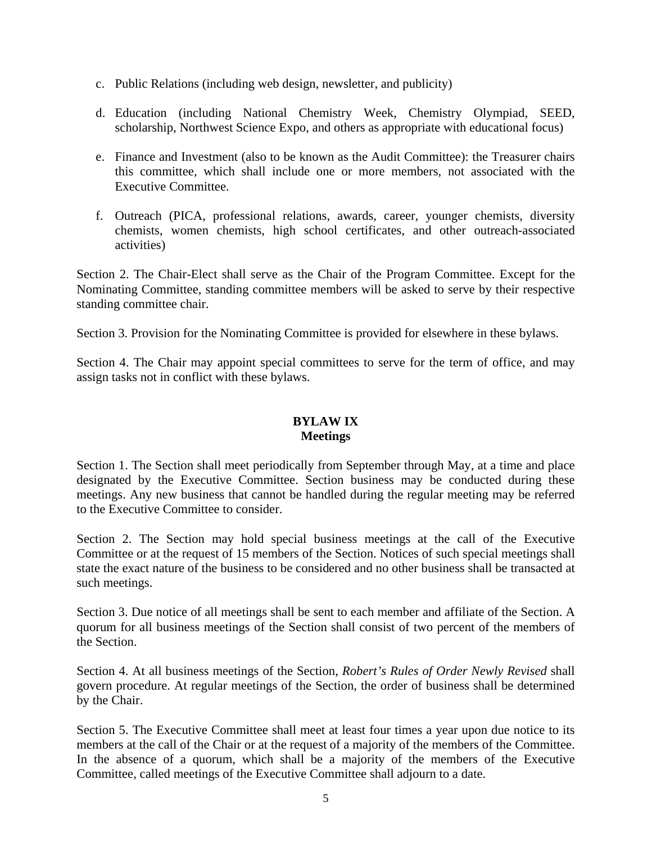- c. Public Relations (including web design, newsletter, and publicity)
- d. Education (including National Chemistry Week, Chemistry Olympiad, SEED, scholarship, Northwest Science Expo, and others as appropriate with educational focus)
- e. Finance and Investment (also to be known as the Audit Committee): the Treasurer chairs this committee, which shall include one or more members, not associated with the Executive Committee.
- f. Outreach (PICA, professional relations, awards, career, younger chemists, diversity chemists, women chemists, high school certificates, and other outreach-associated activities)

Section 2. The Chair-Elect shall serve as the Chair of the Program Committee. Except for the Nominating Committee, standing committee members will be asked to serve by their respective standing committee chair.

Section 3. Provision for the Nominating Committee is provided for elsewhere in these bylaws.

Section 4. The Chair may appoint special committees to serve for the term of office, and may assign tasks not in conflict with these bylaws.

## **BYLAW IX Meetings**

Section 1. The Section shall meet periodically from September through May, at a time and place designated by the Executive Committee. Section business may be conducted during these meetings. Any new business that cannot be handled during the regular meeting may be referred to the Executive Committee to consider.

Section 2. The Section may hold special business meetings at the call of the Executive Committee or at the request of 15 members of the Section. Notices of such special meetings shall state the exact nature of the business to be considered and no other business shall be transacted at such meetings.

Section 3. Due notice of all meetings shall be sent to each member and affiliate of the Section. A quorum for all business meetings of the Section shall consist of two percent of the members of the Section.

Section 4. At all business meetings of the Section, *Robert's Rules of Order Newly Revised* shall govern procedure. At regular meetings of the Section, the order of business shall be determined by the Chair.

Section 5. The Executive Committee shall meet at least four times a year upon due notice to its members at the call of the Chair or at the request of a majority of the members of the Committee. In the absence of a quorum, which shall be a majority of the members of the Executive Committee, called meetings of the Executive Committee shall adjourn to a date.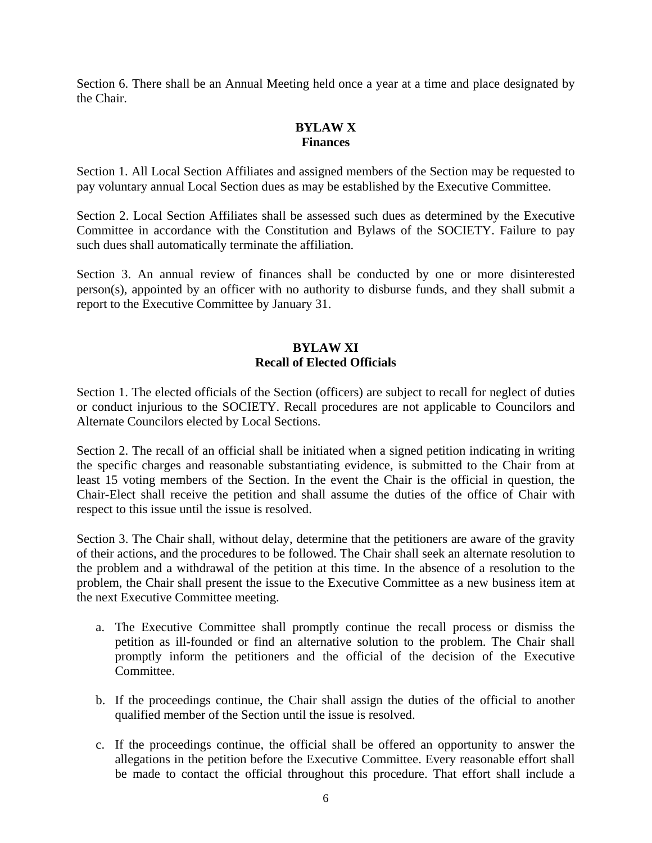Section 6. There shall be an Annual Meeting held once a year at a time and place designated by the Chair.

## **BYLAW X Finances**

Section 1. All Local Section Affiliates and assigned members of the Section may be requested to pay voluntary annual Local Section dues as may be established by the Executive Committee.

Section 2. Local Section Affiliates shall be assessed such dues as determined by the Executive Committee in accordance with the Constitution and Bylaws of the SOCIETY. Failure to pay such dues shall automatically terminate the affiliation.

Section 3. An annual review of finances shall be conducted by one or more disinterested person(s), appointed by an officer with no authority to disburse funds, and they shall submit a report to the Executive Committee by January 31.

## **BYLAW XI Recall of Elected Officials**

Section 1. The elected officials of the Section (officers) are subject to recall for neglect of duties or conduct injurious to the SOCIETY. Recall procedures are not applicable to Councilors and Alternate Councilors elected by Local Sections.

Section 2. The recall of an official shall be initiated when a signed petition indicating in writing the specific charges and reasonable substantiating evidence, is submitted to the Chair from at least 15 voting members of the Section. In the event the Chair is the official in question, the Chair-Elect shall receive the petition and shall assume the duties of the office of Chair with respect to this issue until the issue is resolved.

Section 3. The Chair shall, without delay, determine that the petitioners are aware of the gravity of their actions, and the procedures to be followed. The Chair shall seek an alternate resolution to the problem and a withdrawal of the petition at this time. In the absence of a resolution to the problem, the Chair shall present the issue to the Executive Committee as a new business item at the next Executive Committee meeting.

- a. The Executive Committee shall promptly continue the recall process or dismiss the petition as ill-founded or find an alternative solution to the problem. The Chair shall promptly inform the petitioners and the official of the decision of the Executive Committee.
- b. If the proceedings continue, the Chair shall assign the duties of the official to another qualified member of the Section until the issue is resolved.
- c. If the proceedings continue, the official shall be offered an opportunity to answer the allegations in the petition before the Executive Committee. Every reasonable effort shall be made to contact the official throughout this procedure. That effort shall include a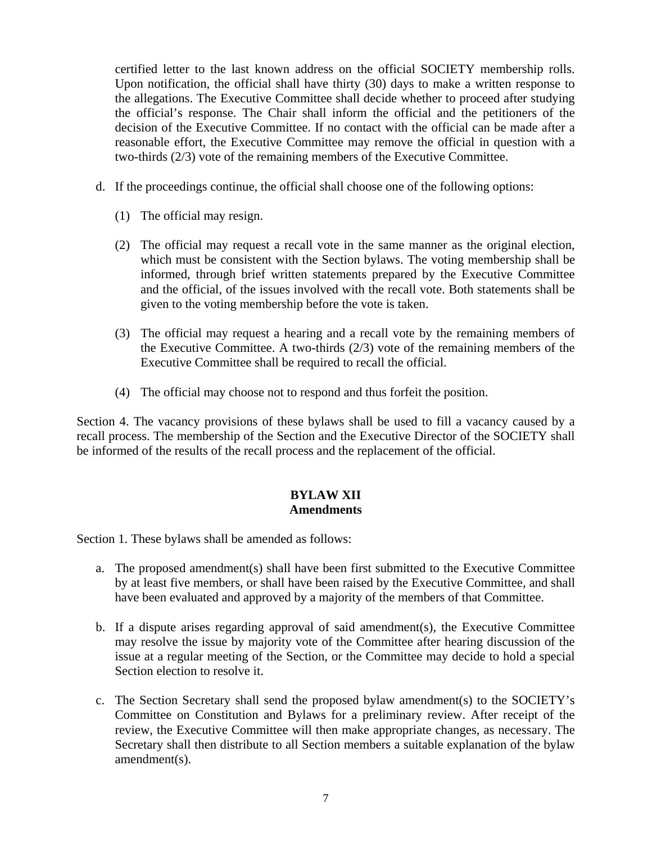certified letter to the last known address on the official SOCIETY membership rolls. Upon notification, the official shall have thirty (30) days to make a written response to the allegations. The Executive Committee shall decide whether to proceed after studying the official's response. The Chair shall inform the official and the petitioners of the decision of the Executive Committee. If no contact with the official can be made after a reasonable effort, the Executive Committee may remove the official in question with a two-thirds (2/3) vote of the remaining members of the Executive Committee.

- d. If the proceedings continue, the official shall choose one of the following options:
	- (1) The official may resign.
	- (2) The official may request a recall vote in the same manner as the original election, which must be consistent with the Section bylaws. The voting membership shall be informed, through brief written statements prepared by the Executive Committee and the official, of the issues involved with the recall vote. Both statements shall be given to the voting membership before the vote is taken.
	- (3) The official may request a hearing and a recall vote by the remaining members of the Executive Committee. A two-thirds (2/3) vote of the remaining members of the Executive Committee shall be required to recall the official.
	- (4) The official may choose not to respond and thus forfeit the position.

Section 4. The vacancy provisions of these bylaws shall be used to fill a vacancy caused by a recall process. The membership of the Section and the Executive Director of the SOCIETY shall be informed of the results of the recall process and the replacement of the official.

# **BYLAW XII Amendments**

Section 1. These bylaws shall be amended as follows:

- a. The proposed amendment(s) shall have been first submitted to the Executive Committee by at least five members, or shall have been raised by the Executive Committee, and shall have been evaluated and approved by a majority of the members of that Committee.
- b. If a dispute arises regarding approval of said amendment(s), the Executive Committee may resolve the issue by majority vote of the Committee after hearing discussion of the issue at a regular meeting of the Section, or the Committee may decide to hold a special Section election to resolve it.
- c. The Section Secretary shall send the proposed bylaw amendment(s) to the SOCIETY's Committee on Constitution and Bylaws for a preliminary review. After receipt of the review, the Executive Committee will then make appropriate changes, as necessary. The Secretary shall then distribute to all Section members a suitable explanation of the bylaw amendment(s).